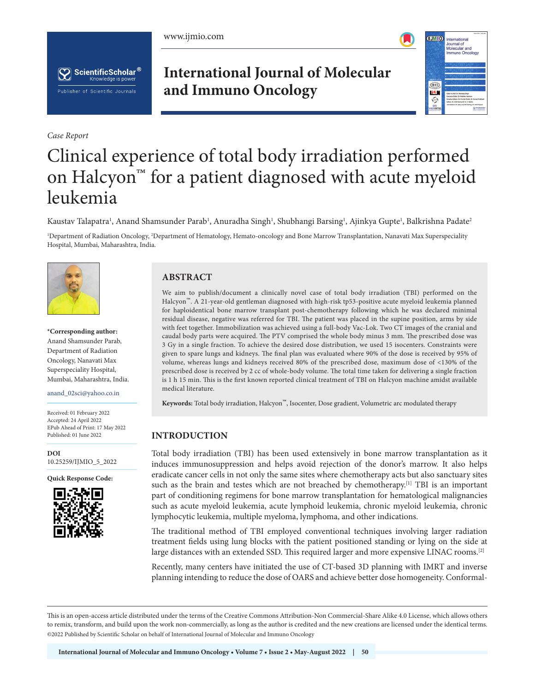





*Case Report*

# **International Journal of Molecular and Immuno Oncology**



# Clinical experience of total body irradiation performed on Halcyon<sup>™</sup> for a patient diagnosed with acute myeloid leukemia

Kaustav Talapatra', Anand Shamsunder Parab', Anuradha Singh', Shubhangi Barsing', Ajinkya Gupte', Balkrishna Padate<sup>2</sup>

<sup>1</sup>Department of Radiation Oncology, <sup>2</sup>Department of Hematology, Hemato-oncology and Bone Marrow Transplantation, Nanavati Max Superspeciality Hospital, Mumbai, Maharashtra, India.



**\*Corresponding author:** Anand Shamsunder Parab, Department of Radiation Oncology, Nanavati Max Superspeciality Hospital, Mumbai, Maharashtra, India.

anand\_02sci@yahoo.co.in

Received: 01 February 2022 Accepted: 24 April 2022 EPub Ahead of Print: 17 May 2022 Published: 01 June 2022

**DOI** [10.25259/IJMIO\\_5\\_2022](https://dx.doi.org/10.25259/IJMIO_5_2022)

**Quick Response Code:**



## **ABSTRACT**

We aim to publish/document a clinically novel case of total body irradiation (TBI) performed on the Halcyon™. A 21-year-old gentleman diagnosed with high-risk tp53-positive acute myeloid leukemia planned for haploidentical bone marrow transplant post-chemotherapy following which he was declared minimal residual disease, negative was referred for TBI. The patient was placed in the supine position, arms by side with feet together. Immobilization was achieved using a full-body Vac-Lok. Two CT images of the cranial and caudal body parts were acquired. The PTV comprised the whole body minus 3 mm. The prescribed dose was 3 Gy in a single fraction. To achieve the desired dose distribution, we used 15 isocenters. Constraints were given to spare lungs and kidneys. The final plan was evaluated where 90% of the dose is received by 95% of volume, whereas lungs and kidneys received 80% of the prescribed dose, maximum dose of <130% of the prescribed dose is received by 2 cc of whole-body volume. The total time taken for delivering a single fraction is 1 h 15 min. This is the first known reported clinical treatment of TBI on Halcyon machine amidst available medical literature.

**Keywords:** Total body irradiation, Halcyon™, Isocenter, Dose gradient, Volumetric arc modulated therapy

#### **INTRODUCTION**

Total body irradiation (TBI) has been used extensively in bone marrow transplantation as it induces immunosuppression and helps avoid rejection of the donor's marrow. It also helps eradicate cancer cells in not only the same sites where chemotherapy acts but also sanctuary sites such as the brain and testes which are not breached by chemotherapy.<sup>[1]</sup> TBI is an important part of conditioning regimens for bone marrow transplantation for hematological malignancies such as acute myeloid leukemia, acute lymphoid leukemia, chronic myeloid leukemia, chronic lymphocytic leukemia, multiple myeloma, lymphoma, and other indications.

The traditional method of TBI employed conventional techniques involving larger radiation treatment fields using lung blocks with the patient positioned standing or lying on the side at large distances with an extended SSD. This required larger and more expensive LINAC rooms.<sup>[2]</sup>

Recently, many centers have initiated the use of CT-based 3D planning with IMRT and inverse planning intending to reduce the dose of OARS and achieve better dose homogeneity. Conformal-

This is an open-access article distributed under the terms of the Creative Commons Attribution-Non Commercial-Share Alike 4.0 License, which allows others to remix, transform, and build upon the work non-commercially, as long as the author is credited and the new creations are licensed under the identical terms. ©2022 Published by Scientific Scholar on behalf of International Journal of Molecular and Immuno Oncology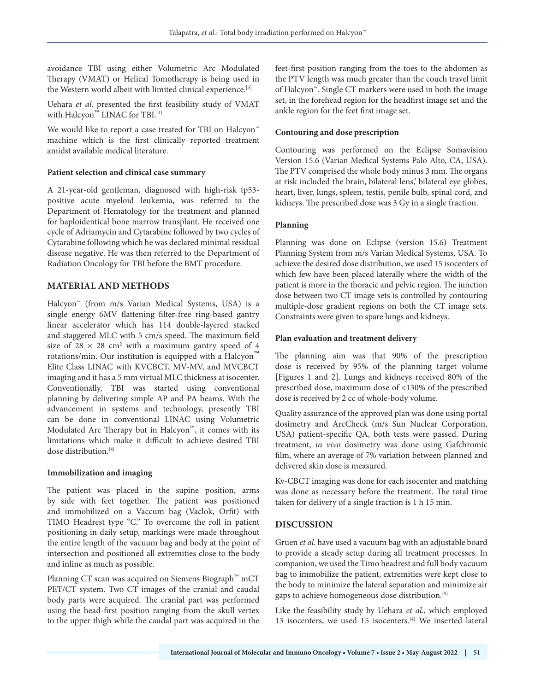avoidance TBI using either Volumetric Arc Modulated Therapy (VMAT) or Helical Tomotherapy is being used in the Western world albeit with limited clinical experience.[3]

Uehara *et al*. presented the first feasibility study of VMAT with Halcyon<sup>™</sup> LINAC for TBI.<sup>[4]</sup>

We would like to report a case treated for TBI on Halcyon<sup>™</sup> machine which is the first clinically reported treatment amidst available medical literature.

#### **Patient selection and clinical case summary**

A 21-year-old gentleman, diagnosed with high-risk tp53 positive acute myeloid leukemia, was referred to the Department of Hematology for the treatment and planned for haploidentical bone marrow transplant. He received one cycle of Adriamycin and Cytarabine followed by two cycles of Cytarabine following which he was declared minimal residual disease negative. He was then referred to the Department of Radiation Oncology for TBI before the BMT procedure.

## **MATERIAL AND METHODS**

Halcyon™ (from m/s Varian Medical Systems, USA) is a single energy 6MV flattening filter-free ring-based gantry linear accelerator which has 114 double-layered stacked and staggered MLC with 5 cm/s speed. The maximum field size of  $28 \times 28$  cm<sup>2</sup> with a maximum gantry speed of 4 rotations/min. Our institution is equipped with a Halcyon<sup>™</sup> Elite Class LINAC with KVCBCT, MV-MV, and MVCBCT imaging and it has a 5 mm virtual MLC thickness at isocenter. Conventionally, TBI was started using conventional planning by delivering simple AP and PA beams. With the advancement in systems and technology, presently TBI can be done in conventional LINAC using Volumetric Modulated Arc Therapy but in Halcyon™, it comes with its limitations which make it difficult to achieve desired TBI dose distribution.<br/>  $\sp(4)$ 

#### **Immobilization and imaging**

The patient was placed in the supine position, arms by side with feet together. The patient was positioned and immobilized on a Vaccum bag (Vaclok, Orfit) with TIMO Headrest type "C." To overcome the roll in patient positioning in daily setup, markings were made throughout the entire length of the vacuum bag and body at the point of intersection and positioned all extremities close to the body and inline as much as possible.

Planning CT scan was acquired on Siemens Biograph™ mCT PET/CT system. Two CT images of the cranial and caudal body parts were acquired. The cranial part was performed using the head-first position ranging from the skull vertex to the upper thigh while the caudal part was acquired in the feet-first position ranging from the toes to the abdomen as the PTV length was much greater than the couch travel limit of Halcyon™. Single CT markers were used in both the image set, in the forehead region for the headfirst image set and the ankle region for the feet first image set.

#### **Contouring and dose prescription**

Contouring was performed on the Eclipse Somavision Version 15.6 (Varian Medical Systems Palo Alto, CA, USA). The PTV comprised the whole body minus 3 mm. The organs at risk included the brain, bilateral lens,' bilateral eye globes, heart, liver, lungs, spleen, testis, penile bulb, spinal cord, and kidneys. The prescribed dose was 3 Gy in a single fraction.

#### **Planning**

Planning was done on Eclipse (version 15.6) Treatment Planning System from m/s Varian Medical Systems, USA. To achieve the desired dose distribution, we used 15 isocenters of which few have been placed laterally where the width of the patient is more in the thoracic and pelvic region. The junction dose between two CT image sets is controlled by contouring multiple-dose gradient regions on both the CT image sets. Constraints were given to spare lungs and kidneys.

#### **Plan evaluation and treatment delivery**

The planning aim was that 90% of the prescription dose is received by 95% of the planning target volume [Figures 1 and 2]. Lungs and kidneys received 80% of the prescribed dose, maximum dose of <130% of the prescribed dose is received by 2 cc of whole-body volume.

Quality assurance of the approved plan was done using portal dosimetry and ArcCheck (m/s Sun Nuclear Corporation, USA) patient-specific QA, both tests were passed. During treatment, *in vivo* dosimetry was done using Gafchromic film, where an average of 7% variation between planned and delivered skin dose is measured.

Kv-CBCT imaging was done for each isocenter and matching was done as necessary before the treatment. The total time taken for delivery of a single fraction is 1 h 15 min.

# **DISCUSSION**

Gruen *et al*. have used a vacuum bag with an adjustable board to provide a steady setup during all treatment processes. In companion, we used the Timo headrest and full body vacuum bag to immobilize the patient, extremities were kept close to the body to minimize the lateral separation and minimize air gaps to achieve homogeneous dose distribution.[5]

Like the feasibility study by Uehara *et al*., which employed 13 isocenters, we used 15 isocenters.[4] We inserted lateral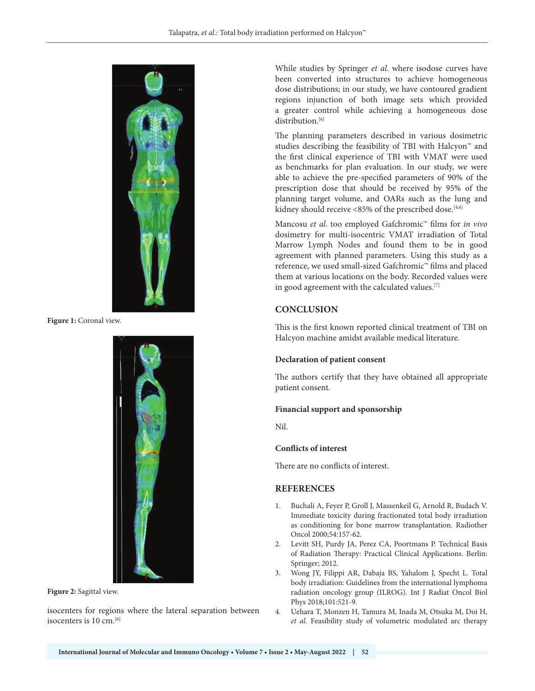

**Figure 1:** Coronal view.



**Figure 2:** Sagittal view.

isocenters for regions where the lateral separation between isocenters is 10 cm.<sup>[6]</sup>

While studies by Springer *et al*. where isodose curves have been converted into structures to achieve homogeneous dose distributions; in our study, we have contoured gradient regions injunction of both image sets which provided a greater control while achieving a homogeneous dose distribution.<sup>[6]</sup>

The planning parameters described in various dosimetric studies describing the feasibility of TBI with Halcyon™ and the first clinical experience of TBI with VMAT were used as benchmarks for plan evaluation. In our study, we were able to achieve the pre-specified parameters of 90% of the prescription dose that should be received by 95% of the planning target volume, and OARs such as the lung and kidney should receive <85% of the prescribed dose.<sup>[4,6]</sup>

Mancosu *et al*. too employed Gafchromic™ films for *in vivo* dosimetry for multi-isocentric VMAT irradiation of Total Marrow Lymph Nodes and found them to be in good agreement with planned parameters. Using this study as a reference, we used small-sized Gafchromic™ films and placed them at various locations on the body. Recorded values were in good agreement with the calculated values.<sup>[7]</sup>

# **CONCLUSION**

This is the first known reported clinical treatment of TBI on Halcyon machine amidst available medical literature.

#### **Declaration of patient consent**

The authors certify that they have obtained all appropriate patient consent.

#### **Financial support and sponsorship**

Nil.

#### **Conflicts of interest**

There are no conflicts of interest.

#### **REFERENCES**

- 1. Buchali A, Feyer P, Groll J, Massenkeil G, Arnold R, Budach V. Immediate toxicity during fractionated total body irradiation as conditioning for bone marrow transplantation. Radiother Oncol 2000;54:157-62.
- 2. Levitt SH, Purdy JA, Perez CA, Poortmans P. Technical Basis of Radiation Therapy: Practical Clinical Applications. Berlin: Springer; 2012.
- 3. Wong JY, Filippi AR, Dabaja BS, Yahalom J, Specht L. Total body irradiation: Guidelines from the international lymphoma radiation oncology group (ILROG). Int J Radiat Oncol Biol Phys 2018;101:521-9.
- 4. Uehara T, Monzen H, Tamura M, Inada M, Otsuka M, Doi H, *et al.* Feasibility study of volumetric modulated arc therapy